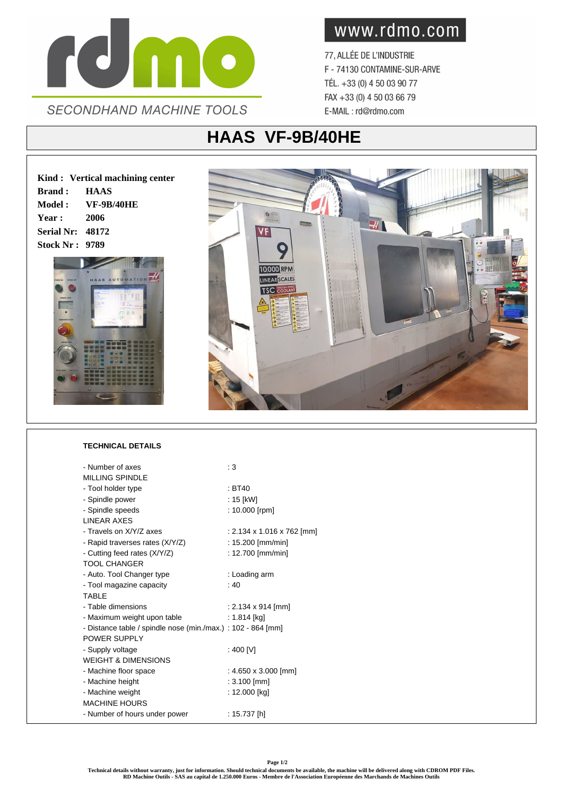

www.rdmo.com

77, ALLÉE DE L'INDUSTRIE F - 74130 CONTAMINE-SUR-ARVE TÉL. +33 (0) 4 50 03 90 77 FAX +33 (0) 4 50 03 66 79 E-MAIL: rd@rdmo.com

## **HAAS VF-9B/40HE**

**Kind : Vertical machining center Brand : HAAS Model : VF-9B/40HE Year : 2006 Serial Nr: 48172 Stock Nr : 9789**





## **TECHNICAL DETAILS**

| - Number of axes                                             | : 3                        |
|--------------------------------------------------------------|----------------------------|
| <b>MILLING SPINDLE</b>                                       |                            |
| - Tool holder type                                           | : BT40                     |
| - Spindle power                                              | : 15 [kW]                  |
| - Spindle speeds                                             | : $10.000$ [rpm]           |
| <b>I INFAR AXES</b>                                          |                            |
| - Travels on X/Y/Z axes                                      | : 2.134 x 1.016 x 762 [mm] |
| - Rapid traverses rates (X/Y/Z)                              | : $15.200$ [mm/min]        |
| - Cutting feed rates (X/Y/Z)                                 | : 12.700 [mm/min]          |
| <b>TOOL CHANGER</b>                                          |                            |
| - Auto. Tool Changer type                                    | : Loading arm              |
| - Tool magazine capacity                                     | :40                        |
| <b>TABLE</b>                                                 |                            |
| - Table dimensions                                           | : 2.134 x 914 [mm]         |
| - Maximum weight upon table                                  | : 1.814 [kg]               |
| - Distance table / spindle nose (min./max.) : 102 - 864 [mm] |                            |
| POWER SUPPLY                                                 |                            |
| - Supply voltage                                             | : 400 [V]                  |
| <b>WEIGHT &amp; DIMENSIONS</b>                               |                            |
| - Machine floor space                                        | : 4.650 x 3.000 [mm]       |
| - Machine height                                             | : 3.100 [mm]               |
| - Machine weight                                             | : 12.000 [kg]              |
| <b>MACHINE HOURS</b>                                         |                            |
| - Number of hours under power                                | : 15.737 $[h]$             |